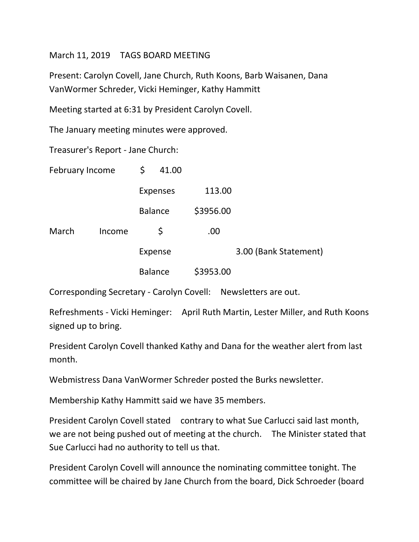## March 11, 2019 TAGS BOARD MEETING

Present: Carolyn Covell, Jane Church, Ruth Koons, Barb Waisanen, Dana VanWormer Schreder, Vicki Heminger, Kathy Hammitt

Meeting started at 6:31 by President Carolyn Covell.

The January meeting minutes were approved.

Treasurer's Report - Jane Church:

| February Income |        | \$      | 41.00           |           |                       |
|-----------------|--------|---------|-----------------|-----------|-----------------------|
|                 |        |         | <b>Expenses</b> | 113.00    |                       |
|                 |        |         | <b>Balance</b>  | \$3956.00 |                       |
| March           | Income |         | \$              | .00.      |                       |
|                 |        | Expense |                 |           | 3.00 (Bank Statement) |
|                 |        |         | <b>Balance</b>  | \$3953.00 |                       |

Corresponding Secretary - Carolyn Covell: Newsletters are out.

Refreshments - Vicki Heminger: April Ruth Martin, Lester Miller, and Ruth Koons signed up to bring.

President Carolyn Covell thanked Kathy and Dana for the weather alert from last month.

Webmistress Dana VanWormer Schreder posted the Burks newsletter.

Membership Kathy Hammitt said we have 35 members.

President Carolyn Covell stated contrary to what Sue Carlucci said last month, we are not being pushed out of meeting at the church. The Minister stated that Sue Carlucci had no authority to tell us that.

President Carolyn Covell will announce the nominating committee tonight. The committee will be chaired by Jane Church from the board, Dick Schroeder (board